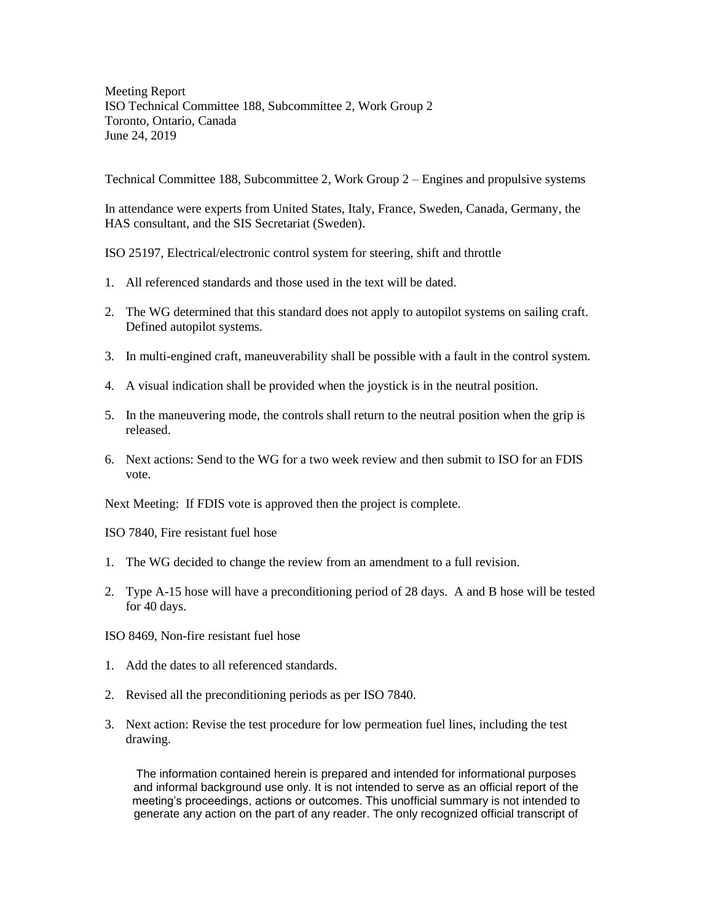Meeting Report ISO Technical Committee 188, Subcommittee 2, Work Group 2 Toronto, Ontario, Canada June 24, 2019

Technical Committee 188, Subcommittee 2, Work Group 2 – Engines and propulsive systems

In attendance were experts from United States, Italy, France, Sweden, Canada, Germany, the HAS consultant, and the SIS Secretariat (Sweden).

ISO 25197, Electrical/electronic control system for steering, shift and throttle

- 1. All referenced standards and those used in the text will be dated.
- 2. The WG determined that this standard does not apply to autopilot systems on sailing craft. Defined autopilot systems.
- 3. In multi-engined craft, maneuverability shall be possible with a fault in the control system.
- 4. A visual indication shall be provided when the joystick is in the neutral position.
- 5. In the maneuvering mode, the controls shall return to the neutral position when the grip is released.
- 6. Next actions: Send to the WG for a two week review and then submit to ISO for an FDIS vote.

Next Meeting: If FDIS vote is approved then the project is complete.

ISO 7840, Fire resistant fuel hose

- 1. The WG decided to change the review from an amendment to a full revision.
- 2. Type A-15 hose will have a preconditioning period of 28 days. A and B hose will be tested for 40 days.

ISO 8469, Non-fire resistant fuel hose

- 1. Add the dates to all referenced standards.
- 2. Revised all the preconditioning periods as per ISO 7840.
- 3. Next action: Revise the test procedure for low permeation fuel lines, including the test drawing.

The information contained herein is prepared and intended for informational purposes and informal background use only. It is not intended to serve as an official report of the meeting's proceedings, actions or outcomes. This unofficial summary is not intended to generate any action on the part of any reader. The only recognized official transcript of